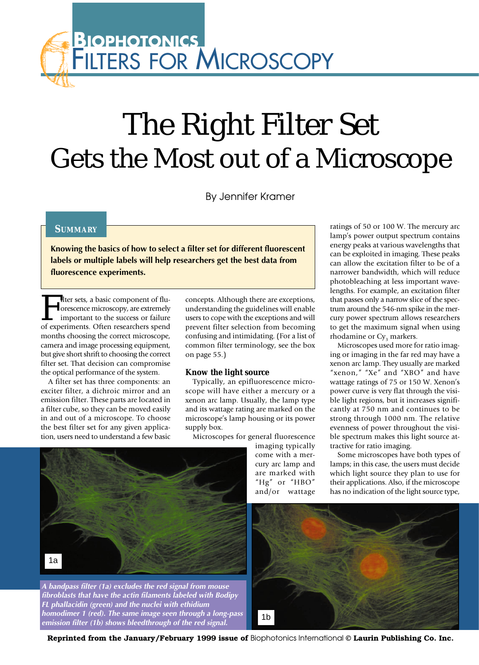## FILTERS FOR MICROSCOPY **BIOPHOTONICS**

# The Right Filter Set Gets the Most out of a Microscope

By Jennifer Kramer

## **SUMMARY**

**Knowing the basics of how to select a filter set for different fluorescent labels or multiple labels will help researchers get the best data from fluorescence experiments.** 

Filter sets, a basic component of flu-<br>orescence microscopy, are extremely<br>important to the success or failure<br>of experiments. Often researchers spend orescence microscopy, are extremely important to the success or failure of experiments. Often researchers spend months choosing the correct microscope, camera and image processing equipment, but give short shrift to choosing the correct filter set. That decision can compromise the optical performance of the system.

A filter set has three components: an exciter filter, a dichroic mirror and an emission filter. These parts are located in a filter cube, so they can be moved easily in and out of a microscope. To choose the best filter set for any given application, users need to understand a few basic

concepts. Although there are exceptions, understanding the guidelines will enable users to cope with the exceptions and will prevent filter selection from becoming confusing and intimidating. (For a list of common filter terminology, see the box on page 55.)

## **Know the light source**

Typically, an epifluorescence microscope will have either a mercury or a xenon arc lamp. Usually, the lamp type and its wattage rating are marked on the microscope's lamp housing or its power supply box.

Microscopes for general fluorescence



**A bandpass filter (1a) excludes the red signal from mouse fibroblasts that have the actin filaments labeled with Bodipy FL phallacidin (green) and the nuclei with ethidium homodimer 1 (red). The same image seen through a long-pass emission filter (1b) shows bleedthrough of the red signal.**

imaging typically come with a mercury arc lamp and are marked with "Hg" or "HBO" and/or wattage

ratings of 50 or 100 W. The mercury arc lamp's power output spectrum contains energy peaks at various wavelengths that can be exploited in imaging. These peaks can allow the excitation filter to be of a narrower bandwidth, which will reduce photobleaching at less important wavelengths. For example, an excitation filter that passes only a narrow slice of the spectrum around the 546-nm spike in the mercury power spectrum allows researchers to get the maximum signal when using rhodamine or Cy<sub>3</sub> markers.

Microscopes used more for ratio imaging or imaging in the far red may have a xenon arc lamp. They usually are marked "xenon," "Xe" and "XBO" and have wattage ratings of 75 or 150 W. Xenon's power curve is very flat through the visible light regions, but it increases significantly at 750 nm and continues to be strong through 1000 nm. The relative evenness of power throughout the visible spectrum makes this light source attractive for ratio imaging.

Some microscopes have both types of lamps; in this case, the users must decide which light source they plan to use for their applications. Also, if the microscope has no indication of the light source type,



**Reprinted from the January/February 1999 issue of** Biophotonics International **© Laurin Publishing Co. Inc.**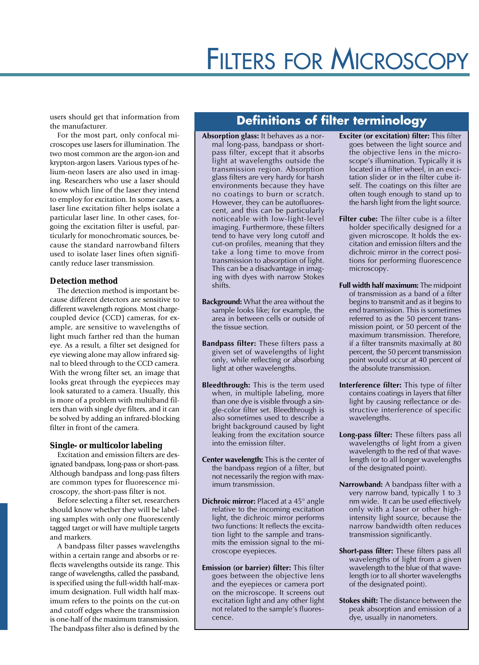## FILTERS FOR MICROSCOPY

users should get that information from the manufacturer.

For the most part, only confocal microscopes use lasers for illumination. The two most common are the argon-ion and krypton-argon lasers. Various types of helium-neon lasers are also used in imaging. Researchers who use a laser should know which line of the laser they intend to employ for excitation. In some cases, a laser line excitation filter helps isolate a particular laser line. In other cases, forgoing the excitation filter is useful, particularly for monochromatic sources, because the standard narrowband filters used to isolate laser lines often significantly reduce laser transmission.

### **Detection method**

The detection method is important because different detectors are sensitive to different wavelength regions. Most chargecoupled device (CCD) cameras, for example, are sensitive to wavelengths of light much farther red than the human eye. As a result, a filter set designed for eye viewing alone may allow infrared signal to bleed through to the CCD camera. With the wrong filter set, an image that looks great through the eyepieces may look saturated to a camera. Usually, this is more of a problem with multiband filters than with single dye filters, and it can be solved by adding an infrared-blocking filter in front of the camera.

## **Single- or multicolor labeling**

Excitation and emission filters are designated bandpass, long-pass or short-pass. Although bandpass and long-pass filters are common types for fluorescence microscopy, the short-pass filter is not.

Before selecting a filter set, researchers should know whether they will be labeling samples with only one fluorescently tagged target or will have multiple targets and markers.

A bandpass filter passes wavelengths within a certain range and absorbs or reflects wavelengths outside its range. This range of wavelengths, called the passband, is specified using the full-width half-maximum designation. Full width half maximum refers to the points on the cut-on and cutoff edges where the transmission is one-half of the maximum transmission. The bandpass filter also is defined by the

## **Definitions of filter terminology**

- **Absorption glass:** It behaves as a normal long-pass, bandpass or shortpass filter, except that it absorbs light at wavelengths outside the transmission region. Absorption glass filters are very hardy for harsh environments because they have no coatings to burn or scratch. However, they can be autofluorescent, and this can be particularly noticeable with low-light-level imaging. Furthermore, these filters tend to have very long cutoff and cut-on profiles, meaning that they take a long time to move from transmission to absorption of light. This can be a disadvantage in imaging with dyes with narrow Stokes shifts.
- **Background:** What the area without the sample looks like; for example, the area in between cells or outside of the tissue section.
- **Bandpass filter:** These filters pass a given set of wavelengths of light only, while reflecting or absorbing light at other wavelengths.
- **Bleedthrough:** This is the term used when, in multiple labeling, more than one dye is visible through a single-color filter set. Bleedthrough is also sometimes used to describe a bright background caused by light leaking from the excitation source into the emission filter.
- **Center wavelength:** This is the center of the bandpass region of a filter, but not necessarily the region with maximum transmission.
- **Dichroic mirror:** Placed at a 45° angle relative to the incoming excitation light, the dichroic mirror performs two functions: It reflects the excitation light to the sample and transmits the emission signal to the microscope eyepieces.
- **Emission (or barrier) filter:** This filter goes between the objective lens and the eyepieces or camera port on the microscope. It screens out excitation light and any other light not related to the sample's fluorescence.
- **Exciter (or excitation) filter:** This filter goes between the light source and the objective lens in the microscope's illumination. Typically it is located in a filter wheel, in an excitation slider or in the filter cube itself. The coatings on this filter are often tough enough to stand up to the harsh light from the light source.
- **Filter cube:** The filter cube is a filter holder specifically designed for a given microscope. It holds the excitation and emission filters and the dichroic mirror in the correct positions for performing fluorescence microscopy.
- **Full width half maximum:** The midpoint of transmission as a band of a filter begins to transmit and as it begins to end transmission. This is sometimes referred to as the 50 percent transmission point, or 50 percent of the maximum transmission. Therefore, if a filter transmits maximally at 80 percent, the 50 percent transmission point would occur at 40 percent of the absolute transmission.
- **Interference filter:** This type of filter contains coatings in layers that filter light by causing reflectance or destructive interference of specific wavelengths.
- **Long-pass filter:** These filters pass all wavelengths of light from a given wavelength to the red of that wavelength (or to all longer wavelengths of the designated point).
- **Narrowband:** A bandpass filter with a very narrow band, typically 1 to 3 nm wide. It can be used effectively only with a laser or other highintensity light source, because the narrow bandwidth often reduces transmission significantly.
- **Short-pass filter:** These filters pass all wavelengths of light from a given wavelength to the blue of that wavelength (or to all shorter wavelengths of the designated point).
- **Stokes shift:** The distance between the peak absorption and emission of a dye, usually in nanometers.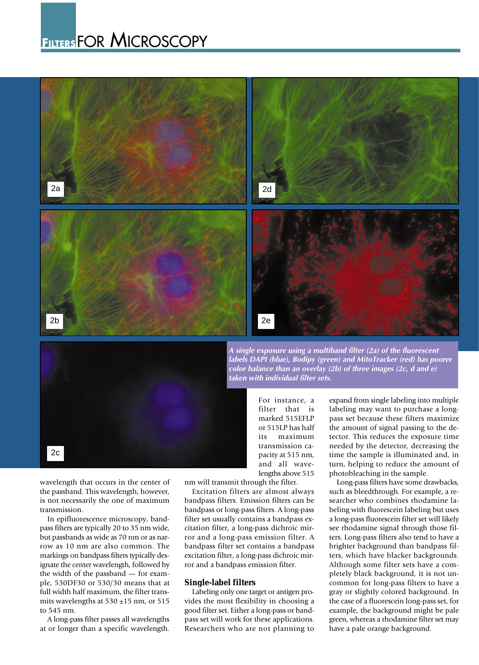## **FILTERS**FOR MICROSCOPY





**A single exposure using a multiband filter (2a) of the fluorescent labels DAPI (blue), Bodipy (green) and MitoTracker (red) has poorer color balance than an overlay (2b) of three images (2c, d and e) taken with individual filter sets.**

> For instance, a filter that is marked 515EFLP or 515LP has half its maximum transmission capacity at 515 nm, and all wavelengths above 515

wavelength that occurs in the center of the passband. This wavelength, however, is not necessarily the one of maximum transmission.

In epifluorescence microscopy, bandpass filters are typically 20 to 35 nm wide, but passbands as wide as 70 nm or as narrow as 10 nm are also common. The markings on bandpass filters typically designate the center wavelength, followed by the width of the passband — for example, 530DF30 or 530/30 means that at full width half maximum, the filter transmits wavelengths at  $530 \pm 15$  nm, or  $515$ to 545 nm.

A long-pass filter passes all wavelengths at or longer than a specific wavelength.

nm will transmit through the filter.

Excitation filters are almost always bandpass filters. Emission filters can be bandpass or long-pass filters. A long-pass filter set usually contains a bandpass excitation filter, a long-pass dichroic mirror and a long-pass emission filter. A bandpass filter set contains a bandpass excitation filter, a long-pass dichroic mirror and a bandpass emission filter.

### **Single-label filters**

Labeling only one target or antigen provides the most flexibility in choosing a good filter set. Either a long-pass or bandpass set will work for these applications. Researchers who are not planning to expand from single labeling into multiple labeling may want to purchase a longpass set because these filters maximize the amount of signal passing to the detector. This reduces the exposure time needed by the detector, decreasing the time the sample is illuminated and, in turn, helping to reduce the amount of photobleaching in the sample.

Long-pass filters have some drawbacks, such as bleedthrough. For example, a researcher who combines rhodamine labeling with fluorescein labeling but uses a long-pass fluorescein filter set will likely see rhodamine signal through those filters. Long-pass filters also tend to have a brighter background than bandpass filters, which have blacker backgrounds. Although some filter sets have a completely black background, it is not uncommon for long-pass filters to have a gray or slightly colored background. In the case of a fluorescein long-pass set, for example, the background might be pale green, whereas a rhodamine filter set may have a pale orange background.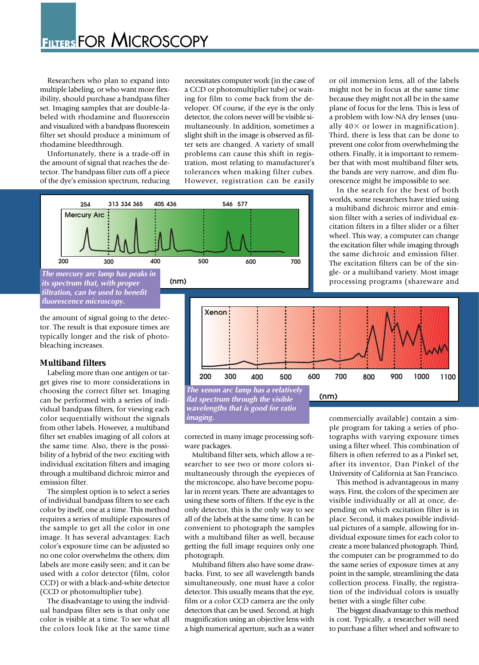Researchers who plan to expand into multiple labeling, or who want more flexibility, should purchase a bandpass filter set. Imaging samples that are double-labeled with rhodamine and fluorescein and visualized with a bandpass fluorescein filter set should produce a minimum of rhodamine bleedthrough.

Unfortunately, there is a trade-off in the amount of signal that reaches the detector. The bandpass filter cuts off a piece of the dye's emission spectrum, reducing necessitates computer work (in the case of a CCD or photomultiplier tube) or waiting for film to come back from the developer. Of course, if the eye is the only detector, the colors never will be visible simultaneously. In addition, sometimes a slight shift in the image is observed as filter sets are changed. A variety of small problems can cause this shift in registration, most relating to manufacturer's tolerances when making filter cubes. However, registration can be easily



or oil immersion lens, all of the labels might not be in focus at the same time because they might not all be in the same plane of focus for the lens. This is less of a problem with low-NA dry lenses (usually  $40\times$  or lower in magnification). Third, there is less that can be done to prevent one color from overwhelming the others. Finally, it is important to remember that with most multiband filter sets, the bands are very narrow, and dim fluorescence might be impossible to see.

In the search for the best of both worlds, some researchers have tried using a multiband dichroic mirror and emission filter with a series of individual excitation filters in a filter slider or a filter wheel. This way, a computer can change the excitation filter while imaging through the same dichroic and emission filter. The excitation filters can be of the single- or a multiband variety. Most image processing programs (shareware and

the amount of signal going to the detector. The result is that exposure times are typically longer and the risk of photobleaching increases.

## **Multiband filters**

Labeling more than one antigen or target gives rise to more considerations in choosing the correct filter set. Imaging can be performed with a series of individual bandpass filters, for viewing each color sequentially without the signals from other labels. However, a multiband filter set enables imaging of all colors at the same time. Also, there is the possibility of a hybrid of the two: exciting with individual excitation filters and imaging through a multiband dichroic mirror and emission filter.

The simplest option is to select a series of individual bandpass filters to see each color by itself, one at a time. This method requires a series of multiple exposures of the sample to get all the color in one image. It has several advantages: Each color's exposure time can be adjusted so no one color overwhelms the others; dim labels are more easily seen; and it can be used with a color detector (film, color CCD) or with a black-and-white detector (CCD or photomultiplier tube).

The disadvantage to using the individual bandpass filter sets is that only one color is visible at a time. To see what all the colors look like at the same time



**The xenon arc lamp has a relatively (nm)**<br>flat spectrum through the visible **(nm) flat spectrum through the visible wavelengths that is good for ratio imaging.**

corrected in many image processing software packages.

Multiband filter sets, which allow a researcher to see two or more colors simultaneously through the eyepieces of the microscope, also have become popular in recent years. There are advantages to using these sorts of filters. If the eye is the only detector, this is the only way to see all of the labels at the same time. It can be convenient to photograph the samples with a multiband filter as well, because getting the full image requires only one photograph.

Multiband filters also have some drawbacks. First, to see all wavelength bands simultaneously, one must have a color detector. This usually means that the eye, film or a color CCD camera are the only detectors that can be used. Second, at high magnification using an objective lens with a high numerical aperture, such as a water commercially available) contain a simple program for taking a series of photographs with varying exposure times using a filter wheel. This combination of filters is often referred to as a Pinkel set, after its inventor, Dan Pinkel of the University of California at San Francisco.

This method is advantageous in many ways. First, the colors of the specimen are visible individually or all at once, depending on which excitation filter is in place. Second, it makes possible individual pictures of a sample, allowing for individual exposure times for each color to create a more balanced photograph. Third, the computer can be programmed to do the same series of exposure times at any point in the sample, streamlining the data collection process. Finally, the registration of the individual colors is usually better with a single filter cube.

The biggest disadvantage to this method is cost. Typically, a researcher will need to purchase a filter wheel and software to